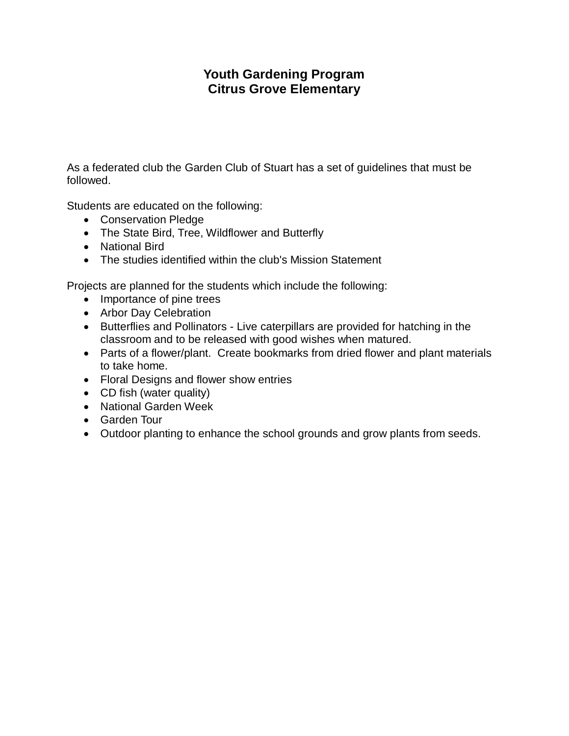# **Youth Gardening Program Citrus Grove Elementary**

As a federated club the Garden Club of Stuart has a set of guidelines that must be followed.

Students are educated on the following:

- Conservation Pledge
- The State Bird, Tree, Wildflower and Butterfly
- National Bird
- The studies identified within the club's Mission Statement

Projects are planned for the students which include the following:

- Importance of pine trees
- Arbor Day Celebration
- Butterflies and Pollinators Live caterpillars are provided for hatching in the classroom and to be released with good wishes when matured.
- Parts of a flower/plant. Create bookmarks from dried flower and plant materials to take home.
- Floral Designs and flower show entries
- CD fish (water quality)
- National Garden Week
- Garden Tour
- Outdoor planting to enhance the school grounds and grow plants from seeds.